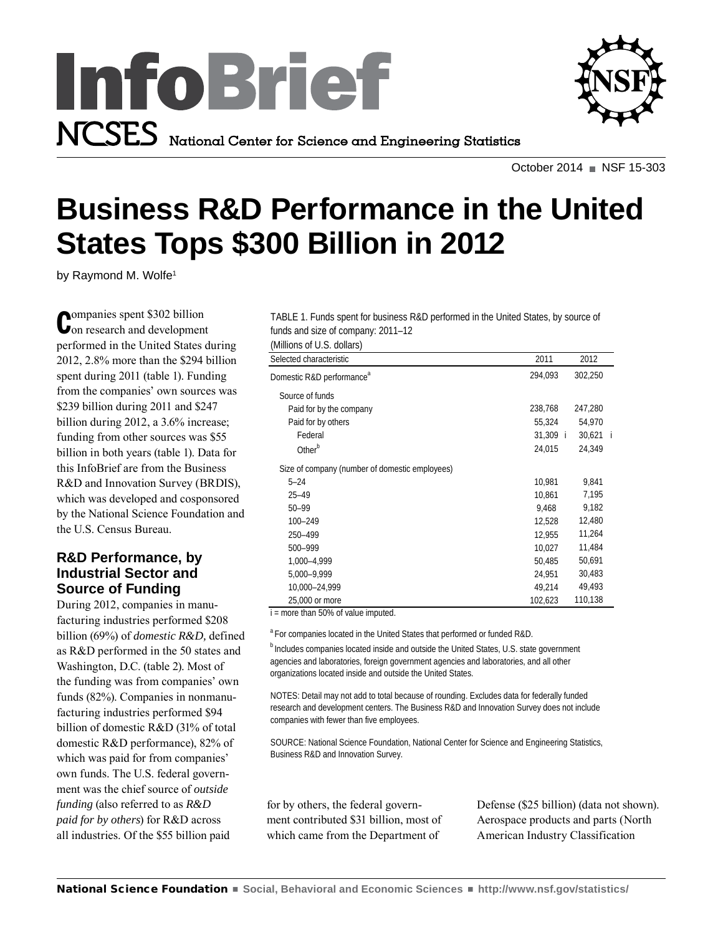



October 2014 NSF 15-303

# **Business R&D Performance in the United States Tops \$300 Billion in 2012**

by Raymond M. Wolfe<sup>1</sup>

**C**ompanies spent \$302 billion<br> **Con research and development** ompanies spent \$302 billion performed in the United States during 2012, 2.8% more than the \$294 billion spent during 2011 (table 1). Funding from the companies' own sources was \$239 billion during 2011 and \$247 billion during 2012, a 3.6% increase; funding from other sources was \$55 billion in both years (table 1). Data for this InfoBrief are from the Business R&D and Innovation Survey (BRDIS), which was developed and cosponsored by the National Science Foundation and the U.S. Census Bureau.

### **R&D Performance, by Industrial Sector and Source of Funding**

During 2012, companies in manufacturing industries performed \$208 billion (69%) of *domestic R&D,* defined as R&D performed in the 50 states and Washington, D.C. (table 2). Most of the funding was from companies' own funds (82%). Companies in nonmanufacturing industries performed \$94 billion of domestic R&D (31% of total domestic R&D performance), 82% of which was paid for from companies' own funds. The U.S. federal government was the chief source of *outside funding* (also referred to as *R&D paid for by others*) for R&D across all industries. Of the \$55 billion paid

TABLE 1. Funds spent for business R&D performed in the United States, by source of funds and size of company: 2011–12

(Millions of U.S. dollars)

| Selected characteristic                        | 2011     | 2012     |
|------------------------------------------------|----------|----------|
| Domestic R&D performance <sup>a</sup>          | 294,093  | 302,250  |
| Source of funds                                |          |          |
| Paid for by the company                        | 238,768  | 247,280  |
| Paid for by others                             | 55,324   | 54,970   |
| Federal                                        | 31,309 i | 30,621 i |
| Other <sup>b</sup>                             | 24,015   | 24,349   |
| Size of company (number of domestic employees) |          |          |
| $5 - 24$                                       | 10,981   | 9,841    |
| $25 - 49$                                      | 10,861   | 7,195    |
| $50 - 99$                                      | 9,468    | 9,182    |
| 100-249                                        | 12,528   | 12,480   |
| 250-499                                        | 12,955   | 11,264   |
| 500-999                                        | 10,027   | 11,484   |
| 1,000-4,999                                    | 50,485   | 50,691   |
| 5,000-9,999                                    | 24,951   | 30,483   |
| 10,000-24,999                                  | 49,214   | 49,493   |
| 25,000 or more                                 | 102,623  | 110,138  |

 $i =$  more than 50% of value imputed.

<sup>a</sup> For companies located in the United States that performed or funded R&D.

<sup>b</sup> Includes companies located inside and outside the United States, U.S. state government agencies and laboratories, foreign government agencies and laboratories, and all other organizations located inside and outside the United States.

NOTES: Detail may not add to total because of rounding. Excludes data for federally funded research and development centers. The Business R&D and Innovation Survey does not include companies with fewer than five employees.

SOURCE: National Science Foundation, National Center for Science and Engineering Statistics, Business R&D and Innovation Survey.

for by others, the federal government contributed \$31 billion, most of which came from the Department of

Defense (\$25 billion) (data not shown). Aerospace products and parts (North American Industry Classification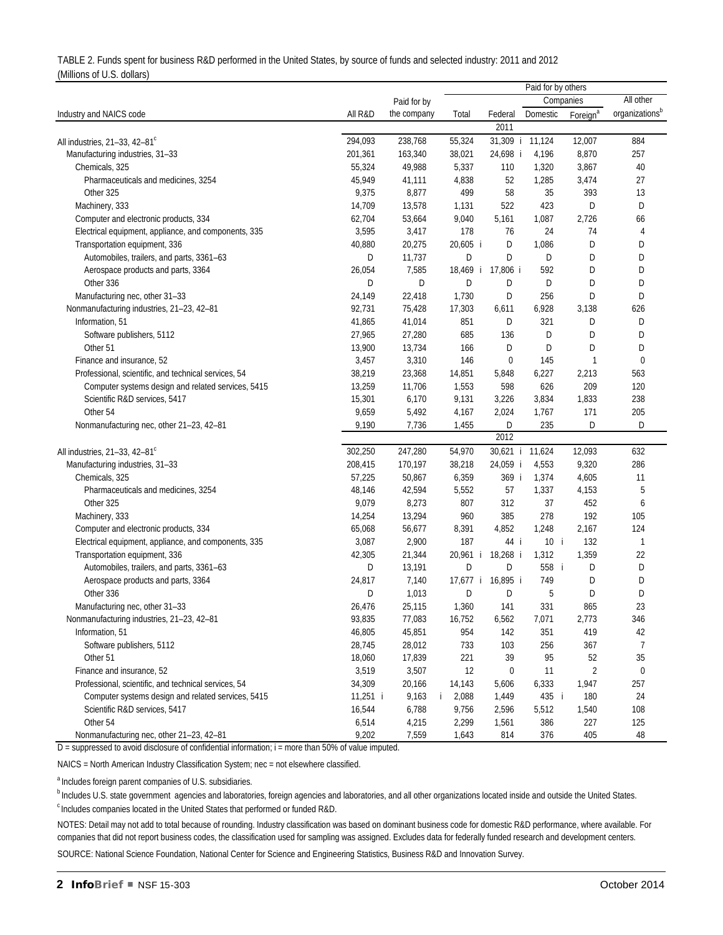| TABLE 2. Funds spent for business R&D performed in the United States, by source of funds and selected industry: 2011 and 2012 |  |
|-------------------------------------------------------------------------------------------------------------------------------|--|
| (Millions of U.S. dollars)                                                                                                    |  |

|                                                      |            | Paid for by others |            |                   |          |                      |                            |  |
|------------------------------------------------------|------------|--------------------|------------|-------------------|----------|----------------------|----------------------------|--|
|                                                      |            | Paid for by        |            |                   |          | Companies            | All other                  |  |
| Industry and NAICS code                              | All R&D    | the company        | Total      | Federal           | Domestic | Foreign <sup>a</sup> | organizations <sup>b</sup> |  |
|                                                      |            |                    |            | 2011              |          |                      |                            |  |
| All industries, $21-33$ , $42-81$ <sup>c</sup>       | 294,093    | 238,768            | 55,324     | 31,309 i 11,124   |          | 12,007               | 884                        |  |
| Manufacturing industries, 31-33                      | 201,361    | 163,340            | 38,021     | 24,698 i          | 4,196    | 8,870                | 257                        |  |
| Chemicals, 325                                       | 55,324     | 49,988             | 5,337      | 110               | 1,320    | 3,867                | 40                         |  |
| Pharmaceuticals and medicines, 3254                  | 45,949     | 41,111             | 4,838      | 52                | 1,285    | 3,474                | 27                         |  |
| Other 325                                            | 9,375      | 8,877              | 499        | 58                | 35       | 393                  | 13                         |  |
| Machinery, 333                                       | 14,709     | 13,578             | 1,131      | 522               | 423      | D                    | D                          |  |
| Computer and electronic products, 334                | 62,704     | 53,664             | 9,040      | 5,161             | 1,087    | 2,726                | 66                         |  |
| Electrical equipment, appliance, and components, 335 | 3,595      | 3,417              | 178        | 76                | 24       | 74                   | 4                          |  |
| Transportation equipment, 336                        | 40,880     | 20,275             | 20,605 i   | D                 | 1,086    | D                    | D                          |  |
| Automobiles, trailers, and parts, 3361-63            | D          | 11,737             | D          | D                 | D        | $\mathsf D$          | D                          |  |
| Aerospace products and parts, 3364                   | 26,054     | 7,585              | 18,469     | 17,806 i          | 592      | D                    | D                          |  |
| Other 336                                            | D          | D                  | D          | D                 | D        | D                    | D                          |  |
| Manufacturing nec, other 31-33                       | 24,149     | 22,418             | 1,730      | D                 | 256      | D                    | D                          |  |
| Nonmanufacturing industries, 21-23, 42-81            | 92,731     | 75,428             | 17,303     | 6,611             | 6,928    | 3,138                | 626                        |  |
| Information, 51                                      | 41,865     | 41,014             | 851        | D                 | 321      | D                    | D                          |  |
| Software publishers, 5112                            | 27,965     | 27,280             | 685        | 136               | D        | D                    | D                          |  |
| Other 51                                             | 13,900     | 13,734             | 166        | D                 | D        | D                    | D                          |  |
| Finance and insurance, 52                            | 3,457      | 3,310              | 146        | 0                 | 145      |                      | $\mathbf{0}$               |  |
| Professional, scientific, and technical services, 54 | 38,219     | 23,368             | 14,851     | 5,848             | 6,227    | 2,213                | 563                        |  |
| Computer systems design and related services, 5415   | 13,259     | 11,706             | 1,553      | 598               | 626      | 209                  | 120                        |  |
| Scientific R&D services, 5417                        | 15,301     | 6,170              | 9,131      | 3,226             | 3,834    | 1,833                | 238                        |  |
| Other 54                                             | 9,659      | 5,492              | 4,167      | 2,024             | 1,767    | 171                  | 205                        |  |
| Nonmanufacturing nec, other 21-23, 42-81             | 9,190      | 7,736              | 1,455      | D                 | 235      | D                    | D                          |  |
|                                                      |            |                    |            | 2012              |          |                      |                            |  |
| All industries, 21-33, 42-81 <sup>c</sup>            | 302,250    | 247,280            | 54,970     | 30,621 i          | 11,624   | 12,093               | 632                        |  |
| Manufacturing industries, 31-33                      | 208,415    | 170,197            | 38,218     | 24,059 i          | 4,553    | 9,320                | 286                        |  |
| Chemicals, 325                                       | 57,225     | 50,867             | 6,359      | 369 i             | 1,374    | 4,605                | 11                         |  |
| Pharmaceuticals and medicines, 3254                  | 48,146     | 42,594             | 5,552      | 57                | 1,337    | 4,153                | 5                          |  |
| Other 325                                            | 9,079      | 8,273              | 807        | 312               | 37       | 452                  | 6                          |  |
| Machinery, 333                                       | 14,254     | 13,294             | 960        | 385               | 278      | 192                  | 105                        |  |
| Computer and electronic products, 334                | 65,068     | 56,677             | 8,391      | 4,852             | 1,248    | 2,167                | 124                        |  |
| Electrical equipment, appliance, and components, 335 | 3,087      | 2,900              | 187        | 44 i              | 10 i     | 132                  | $\mathbf{1}$               |  |
| Transportation equipment, 336                        | 42,305     | 21,344             | 20,961 i   | 18,268 i          | 1,312    | 1,359                | 22                         |  |
| Automobiles, trailers, and parts, 3361-63            | D          | 13,191             | D          | D                 | 558 i    | D                    | D                          |  |
| Aerospace products and parts, 3364                   | 24,817     | 7,140              |            | 17,677 i 16,895 i | 749      | D                    | D                          |  |
| Other 336                                            | D          | 1,013              | D          | D                 | 5        | D                    | D                          |  |
| Manufacturing nec, other 31-33                       | 26,476     | 25,115             | 1,360      | 141               | 331      | 865                  | 23                         |  |
| Nonmanufacturing industries, 21-23, 42-81            | 93,835     | 77,083             | 16,752     | 6,562             | 7,071    | 2,773                | 346                        |  |
| Information, 51                                      | 46,805     | 45,851             | 954        | 142               | 351      | 419                  | 42                         |  |
| Software publishers, 5112                            | 28,745     | 28,012             | 733        | 103               | 256      | 367                  | 7                          |  |
| Other 51                                             | 18,060     | 17,839             | 221        | 39                | 95       | 52                   | 35                         |  |
| Finance and insurance, 52                            | 3,519      | 3,507              | 12         | $\boldsymbol{0}$  | 11       |                      | $\boldsymbol{0}$           |  |
| Professional, scientific, and technical services, 54 | 34,309     | 20,166             | 14,143     | 5,606             | 6,333    | 2<br>1,947           | 257                        |  |
| Computer systems design and related services, 5415   | $11,251$ i | 9,163              | 2,088<br>Ť | 1,449             | 435 i    | 180                  | 24                         |  |
| Scientific R&D services, 5417                        | 16,544     | 6,788              | 9,756      | 2,596             | 5,512    | 1,540                | 108                        |  |
| Other 54                                             | 6,514      | 4,215              | 2,299      | 1,561             | 386      | 227                  | 125                        |  |
| Nonmanufacturing nec, other 21-23, 42-81             | 9,202      | 7,559              | 1,643      | 814               | 376      | 405                  | 48                         |  |
|                                                      |            |                    |            |                   |          |                      |                            |  |

D = suppressed to avoid disclosure of confidential information; i = more than 50% of value imputed.

NAICS = North American Industry Classification System; nec = not elsewhere classified.

<sup>a</sup> Includes foreign parent companies of U.S. subsidiaries.

**b** Includes U.S. state government agencies and laboratories, foreign agencies and laboratories, and all other organizations located inside and outside the United States. <sup>c</sup> Includes companies located in the United States that performed or funded R&D.

NOTES: Detail may not add to total because of rounding. Industry classification was based on dominant business code for domestic R&D performance, where available. For companies that did not report business codes, the classification used for sampling was assigned. Excludes data for federally funded research and development centers.

SOURCE: National Science Foundation, National Center for Science and Engineering Statistics, Business R&D and Innovation Survey.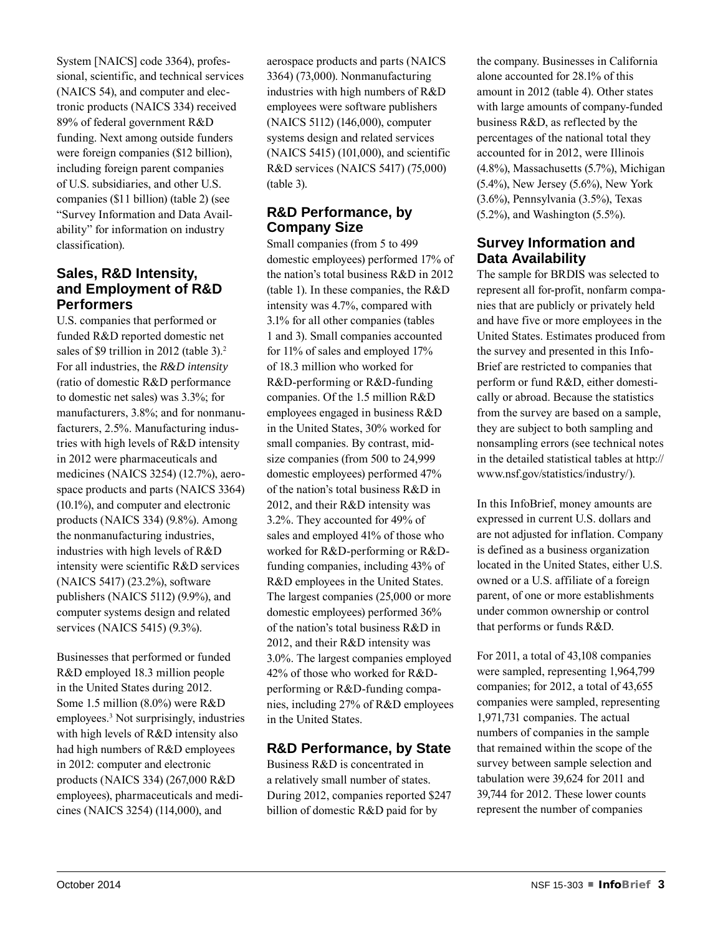System [NAICS] code 3364), professional, scientific, and technical services (NAICS 54), and computer and electronic products (NAICS 334) received 89% of federal government R&D funding. Next among outside funders were foreign companies (\$12 billion), including foreign parent companies of U.S. subsidiaries, and other U.S. companies (\$11 billion) (table 2) (see "Survey Information and Data Availability" for information on industry classification).

### **Sales, R&D Intensity, and Employment of R&D Performers**

U.S. companies that performed or funded R&D reported domestic net sales of \$9 trillion in 2012 (table 3).<sup>2</sup> For all industries, the *R&D intensity* (ratio of domestic R&D performance to domestic net sales) was 3.3%; for manufacturers, 3.8%; and for nonmanufacturers, 2.5%. Manufacturing industries with high levels of R&D intensity in 2012 were pharmaceuticals and medicines (NAICS 3254) (12.7%), aerospace products and parts (NAICS 3364) (10.1%), and computer and electronic products (NAICS 334) (9.8%). Among the nonmanufacturing industries, industries with high levels of R&D intensity were scientific R&D services (NAICS 5417) (23.2%), software publishers (NAICS 5112) (9.9%), and computer systems design and related services (NAICS 5415) (9.3%).

Businesses that performed or funded R&D employed 18.3 million people in the United States during 2012. Some 1.5 million (8.0%) were R&D employees.3 Not surprisingly, industries with high levels of R&D intensity also had high numbers of R&D employees in 2012: computer and electronic products (NAICS 334) (267,000 R&D employees), pharmaceuticals and medicines (NAICS 3254) (114,000), and

aerospace products and parts (NAICS 3364) (73,000). Nonmanufacturing industries with high numbers of R&D employees were software publishers (NAICS 5112) (146,000), computer systems design and related services (NAICS 5415) (101,000), and scientific R&D services (NAICS 5417) (75,000) (table 3).

# **R&D Performance, by Company Size**

Small companies (from 5 to 499 domestic employees) performed 17% of the nation's total business R&D in 2012 (table 1). In these companies, the R&D intensity was 4.7%, compared with 3.1% for all other companies (tables 1 and 3). Small companies accounted for 11% of sales and employed 17% of 18.3 million who worked for R&D-performing or R&D-funding companies. Of the 1.5 million R&D employees engaged in business R&D in the United States, 30% worked for small companies. By contrast, midsize companies (from 500 to 24,999 domestic employees) performed 47% of the nation's total business R&D in 2012, and their R&D intensity was 3.2%. They accounted for 49% of sales and employed 41% of those who worked for R&D-performing or R&Dfunding companies, including 43% of R&D employees in the United States. The largest companies (25,000 or more domestic employees) performed 36% of the nation's total business R&D in 2012, and their R&D intensity was 3.0%. The largest companies employed 42% of those who worked for R&Dperforming or R&D-funding companies, including 27% of R&D employees in the United States.

## **R&D Performance, by State**

Business R&D is concentrated in a relatively small number of states. During 2012, companies reported \$247 billion of domestic R&D paid for by

the company. Businesses in California alone accounted for 28.1% of this amount in 2012 (table 4). Other states with large amounts of company-funded business R&D, as reflected by the percentages of the national total they accounted for in 2012, were Illinois (4.8%), Massachusetts (5.7%), Michigan (5.4%), New Jersey (5.6%), New York (3.6%), Pennsylvania (3.5%), Texas (5.2%), and Washington (5.5%).

## **Survey Information and Data Availability**

The sample for BRDIS was selected to represent all for-profit, nonfarm companies that are publicly or privately held and have five or more employees in the United States. Estimates produced from the survey and presented in this Info-Brief are restricted to companies that perform or fund R&D, either domestically or abroad. Because the statistics from the survey are based on a sample, they are subject to both sampling and nonsampling errors (see technical notes in the detailed statistical tables at http:// www.nsf.gov/statistics/industry/).

In this InfoBrief, money amounts are expressed in current U.S. dollars and are not adjusted for inflation. Company is defined as a business organization located in the United States, either U.S. owned or a U.S. affiliate of a foreign parent, of one or more establishments under common ownership or control that performs or funds R&D.

For 2011, a total of 43,108 companies were sampled, representing 1,964,799 companies; for 2012, a total of 43,655 companies were sampled, representing 1,971,731 companies. The actual numbers of companies in the sample that remained within the scope of the survey between sample selection and tabulation were 39,624 for 2011 and 39,744 for 2012. These lower counts represent the number of companies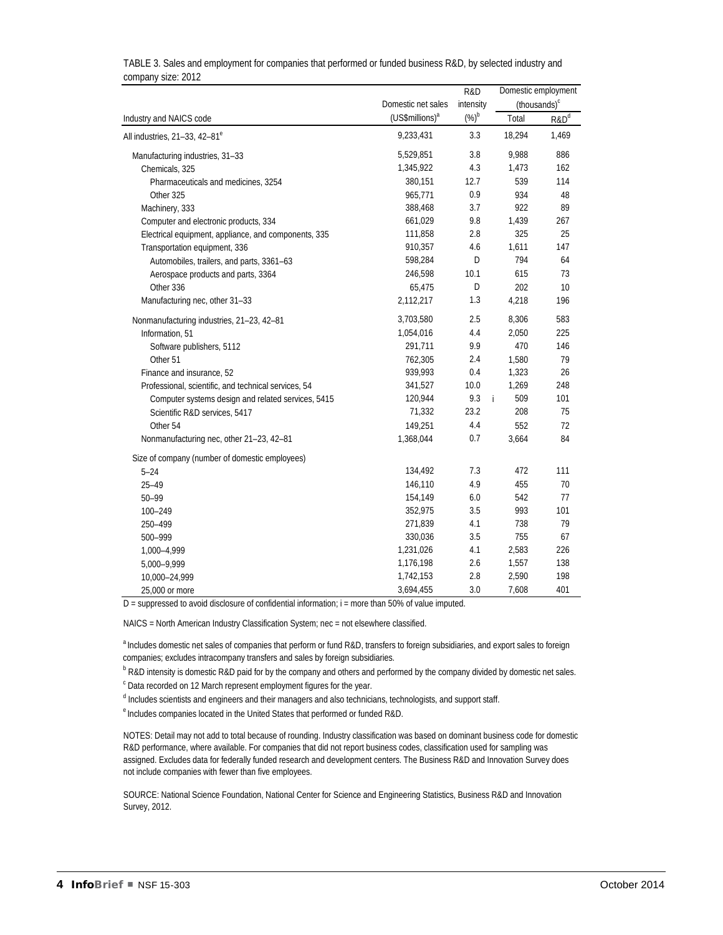|                                                      |                             | R&D       | Domestic employment      |                  |  |
|------------------------------------------------------|-----------------------------|-----------|--------------------------|------------------|--|
|                                                      | Domestic net sales          | intensity | (thousands) <sup>c</sup> |                  |  |
| Industry and NAICS code                              | (US\$millions) <sup>a</sup> | $(\%)^b$  | Total                    | R&D <sup>d</sup> |  |
| All industries, 21-33, 42-81 <sup>e</sup>            | 9,233,431                   | 3.3       | 18,294                   | 1,469            |  |
| Manufacturing industries, 31-33                      | 5,529,851                   | 3.8       | 9,988                    | 886              |  |
| Chemicals, 325                                       | 1,345,922                   | 4.3       | 1,473                    | 162              |  |
| Pharmaceuticals and medicines, 3254                  | 380,151                     | 12.7      | 539                      | 114              |  |
| Other 325                                            | 965.771                     | 0.9       | 934                      | 48               |  |
| Machinery, 333                                       | 388,468                     | 3.7       | 922                      | 89               |  |
| Computer and electronic products, 334                | 661,029                     | 9.8       | 1,439                    | 267              |  |
| Electrical equipment, appliance, and components, 335 | 111,858                     | 2.8       | 325                      | 25               |  |
| Transportation equipment, 336                        | 910,357                     | 4.6       | 1,611                    | 147              |  |
| Automobiles, trailers, and parts, 3361-63            | 598,284                     | D         | 794                      | 64               |  |
| Aerospace products and parts, 3364                   | 246,598                     | 10.1      | 615                      | 73               |  |
| Other 336                                            | 65,475                      | D         | 202                      | 10               |  |
| Manufacturing nec, other 31-33                       | 2,112,217                   | 1.3       | 4,218                    | 196              |  |
| Nonmanufacturing industries, 21-23, 42-81            | 3,703,580                   | 2.5       | 8,306                    | 583              |  |
| Information, 51                                      | 1,054,016                   | 4.4       | 2,050                    | 225              |  |
| Software publishers, 5112                            | 291,711                     | 9.9       | 470                      | 146              |  |
| Other 51                                             | 762,305                     | 2.4       | 1,580                    | 79               |  |
| Finance and insurance, 52                            | 939,993                     | 0.4       | 1,323                    | 26               |  |
| Professional, scientific, and technical services, 54 | 341,527                     | 10.0      | 1,269                    | 248              |  |
| Computer systems design and related services, 5415   | 120,944                     | 9.3       | 509<br>j.                | 101              |  |
| Scientific R&D services, 5417                        | 71,332                      | 23.2      | 208                      | 75               |  |
| Other 54                                             | 149,251                     | 4.4       | 552                      | 72               |  |
| Nonmanufacturing nec, other 21-23, 42-81             | 1,368,044                   | 0.7       | 3,664                    | 84               |  |
| Size of company (number of domestic employees)       |                             |           |                          |                  |  |
| $5 - 24$                                             | 134,492                     | 7.3       | 472                      | 111              |  |
| $25 - 49$                                            | 146,110                     | 4.9       | 455                      | 70               |  |
| $50 - 99$                                            | 154,149                     | 6.0       | 542                      | 77               |  |
| 100-249                                              | 352,975                     | 3.5       | 993                      | 101              |  |
| 250-499                                              | 271,839                     | 4.1       | 738                      | 79               |  |
| 500-999                                              | 330,036                     | 3.5       | 755                      | 67               |  |
| 1,000-4,999                                          | 1,231,026                   | 4.1       | 2,583                    | 226              |  |
| 5,000-9,999                                          | 1,176,198                   | 2.6       | 1,557                    | 138              |  |
| 10,000-24,999                                        | 1,742,153                   | 2.8       | 2,590                    | 198              |  |
| 25,000 or more                                       | 3,694,455                   | 3.0       | 7,608                    | 401              |  |

TABLE 3. Sales and employment for companies that performed or funded business R&D, by selected industry and company size: 2012

D = suppressed to avoid disclosure of confidential information; i = more than 50% of value imputed.

NAICS = North American Industry Classification System; nec = not elsewhere classified.

<sup>a</sup> Includes domestic net sales of companies that perform or fund R&D, transfers to foreign subsidiaries, and export sales to foreign companies; excludes intracompany transfers and sales by foreign subsidiaries.

<sup>b</sup> R&D intensity is domestic R&D paid for by the company and others and performed by the company divided by domestic net sales.

<sup>c</sup> Data recorded on 12 March represent employment figures for the year.

<sup>d</sup> Includes scientists and engineers and their managers and also technicians, technologists, and support staff.

<sup>e</sup> Includes companies located in the United States that performed or funded R&D.

NOTES: Detail may not add to total because of rounding. Industry classification was based on dominant business code for domestic R&D performance, where available. For companies that did not report business codes, classification used for sampling was assigned. Excludes data for federally funded research and development centers. The Business R&D and Innovation Survey does not include companies with fewer than five employees.

SOURCE: National Science Foundation, National Center for Science and Engineering Statistics, Business R&D and Innovation Survey, 2012.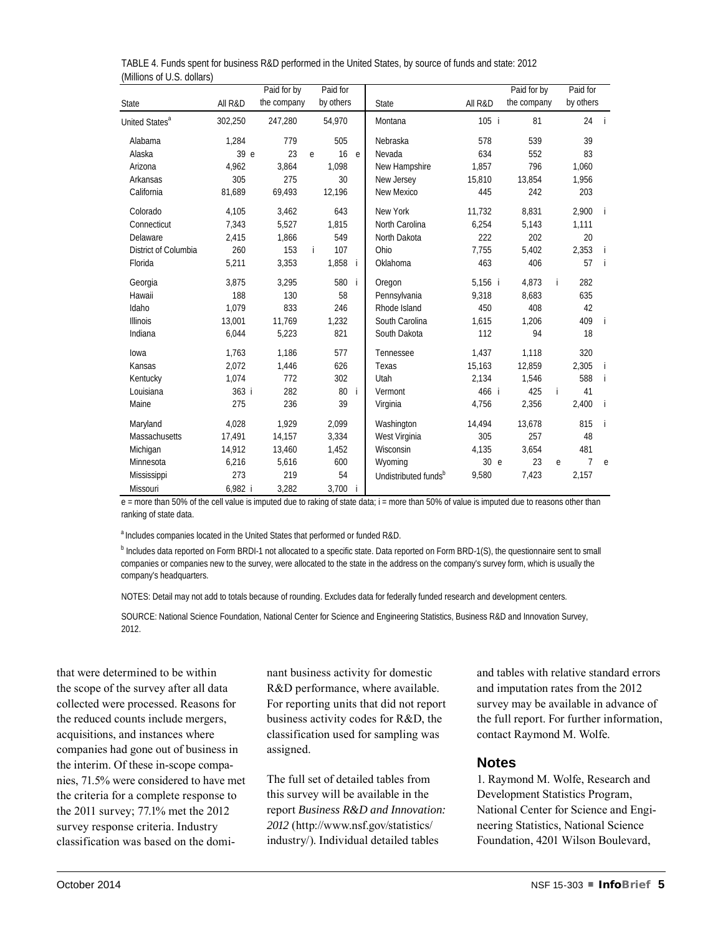| State                      | All R&D | Paid for by<br>the company | Paid for<br>by others |    | <b>State</b>                     | All R&D | Paid for by<br>the company |    | Paid for<br>by others |     |
|----------------------------|---------|----------------------------|-----------------------|----|----------------------------------|---------|----------------------------|----|-----------------------|-----|
| United States <sup>a</sup> | 302,250 | 247,280                    | 54,970                |    | Montana                          | 105 i   | 81                         |    | 24                    |     |
| Alabama                    | 1.284   | 779                        | 505                   |    | Nebraska                         | 578     | 539                        |    | 39                    |     |
| Alaska                     | 39 e    | 23                         | 16 e<br>$\mathbf{e}$  |    | Nevada                           | 634     | 552                        |    | 83                    |     |
| Arizona                    | 4,962   | 3,864                      | 1,098                 |    | New Hampshire                    | 1,857   | 796                        |    | 1,060                 |     |
| Arkansas                   | 305     | 275                        | 30                    |    | New Jersey                       | 15,810  | 13,854                     |    | 1,956                 |     |
| California                 | 81,689  | 69,493                     | 12,196                |    | New Mexico                       | 445     | 242                        |    | 203                   |     |
| Colorado                   | 4,105   | 3,462                      | 643                   |    | New York                         | 11,732  | 8,831                      |    | 2,900                 | - i |
| Connecticut                | 7,343   | 5,527                      | 1,815                 |    | North Carolina                   | 6,254   | 5,143                      |    | 1,111                 |     |
| Delaware                   | 2,415   | 1,866                      | 549                   |    | North Dakota                     | 222     | 202                        |    | 20                    |     |
| District of Columbia       | 260     | 153                        | j.<br>107             |    | Ohio                             | 7,755   | 5,402                      |    | 2,353                 | -i  |
| Florida                    | 5,211   | 3,353                      | 1,858 i               |    | Oklahoma                         | 463     | 406                        |    | 57                    | -i. |
| Georgia                    | 3,875   | 3,295                      | 580 i                 |    | Oregon                           | 5,156 i | 4,873                      | j. | 282                   |     |
| Hawaii                     | 188     | 130                        | 58                    |    | Pennsylvania                     | 9,318   | 8,683                      |    | 635                   |     |
| Idaho                      | 1,079   | 833                        | 246                   |    | Rhode Island                     | 450     | 408                        |    | 42                    |     |
| <b>Illinois</b>            | 13,001  | 11,769                     | 1,232                 |    | South Carolina                   | 1,615   | 1,206                      |    | 409                   | -i  |
| Indiana                    | 6,044   | 5,223                      | 821                   |    | South Dakota                     | 112     | 94                         |    | 18                    |     |
| lowa                       | 1,763   | 1,186                      | 577                   |    | Tennessee                        | 1,437   | 1,118                      |    | 320                   |     |
| Kansas                     | 2,072   | 1,446                      | 626                   |    | Texas                            | 15,163  | 12,859                     |    | 2,305                 | -i  |
| Kentucky                   | 1,074   | 772                        | 302                   |    | Utah                             | 2,134   | 1,546                      |    | 588                   | -i. |
| Louisiana                  | 363 i   | 282                        | 80                    | -i | Vermont                          | 466 i   | 425                        | j. | 41                    |     |
| Maine                      | 275     | 236                        | 39                    |    | Virginia                         | 4,756   | 2,356                      |    | 2,400                 | - i |
| Maryland                   | 4,028   | 1,929                      | 2,099                 |    | Washington                       | 14,494  | 13,678                     |    | 815                   | -i  |
| Massachusetts              | 17,491  | 14,157                     | 3,334                 |    | West Virginia                    | 305     | 257                        |    | 48                    |     |
| Michigan                   | 14,912  | 13,460                     | 1,452                 |    | Wisconsin                        | 4,135   | 3,654                      |    | 481                   |     |
| Minnesota                  | 6,216   | 5,616                      | 600                   |    | Wyoming                          | 30 e    | 23                         | e  | $\overline{7}$        | e   |
| Mississippi                | 273     | 219                        | 54                    |    | Undistributed funds <sup>b</sup> | 9,580   | 7,423                      |    | 2,157                 |     |
| Missouri                   | 6.982 i | 3.282                      | 3.700                 |    |                                  |         |                            |    |                       |     |

TABLE 4. Funds spent for business R&D performed in the United States, by source of funds and state: 2012 (Millions of U.S. dollars)

e = more than 50% of the cell value is imputed due to raking of state data; i = more than 50% of value is imputed due to reasons other than ranking of state data.

<sup>a</sup> Includes companies located in the United States that performed or funded R&D.

<sup>b</sup> Includes data reported on Form BRDI-1 not allocated to a specific state. Data reported on Form BRD-1(S), the questionnaire sent to small companies or companies new to the survey, were allocated to the state in the address on the company's survey form, which is usually the company's headquarters.

NOTES: Detail may not add to totals because of rounding. Excludes data for federally funded research and development centers.

SOURCE: National Science Foundation, National Center for Science and Engineering Statistics, Business R&D and Innovation Survey, 2012.

that were determined to be within the scope of the survey after all data collected were processed. Reasons for the reduced counts include mergers, acquisitions, and instances where companies had gone out of business in the interim. Of these in-scope companies, 71.5% were considered to have met the criteria for a complete response to the 2011 survey; 77.1% met the 2012 survey response criteria. Industry classification was based on the dominant business activity for domestic R&D performance, where available. For reporting units that did not report business activity codes for R&D, the classification used for sampling was assigned.

The full set of detailed tables from this survey will be available in the report *Business R&D and Innovation: 2012* (http://www.nsf.gov/statistics/ industry/). Individual detailed tables

and tables with relative standard errors and imputation rates from the 2012 survey may be available in advance of the full report. For further information, contact Raymond M. Wolfe.

#### **Notes**

1. Raymond M. Wolfe, Research and Development Statistics Program, National Center for Science and Engineering Statistics, National Science Foundation, 4201 Wilson Boulevard,